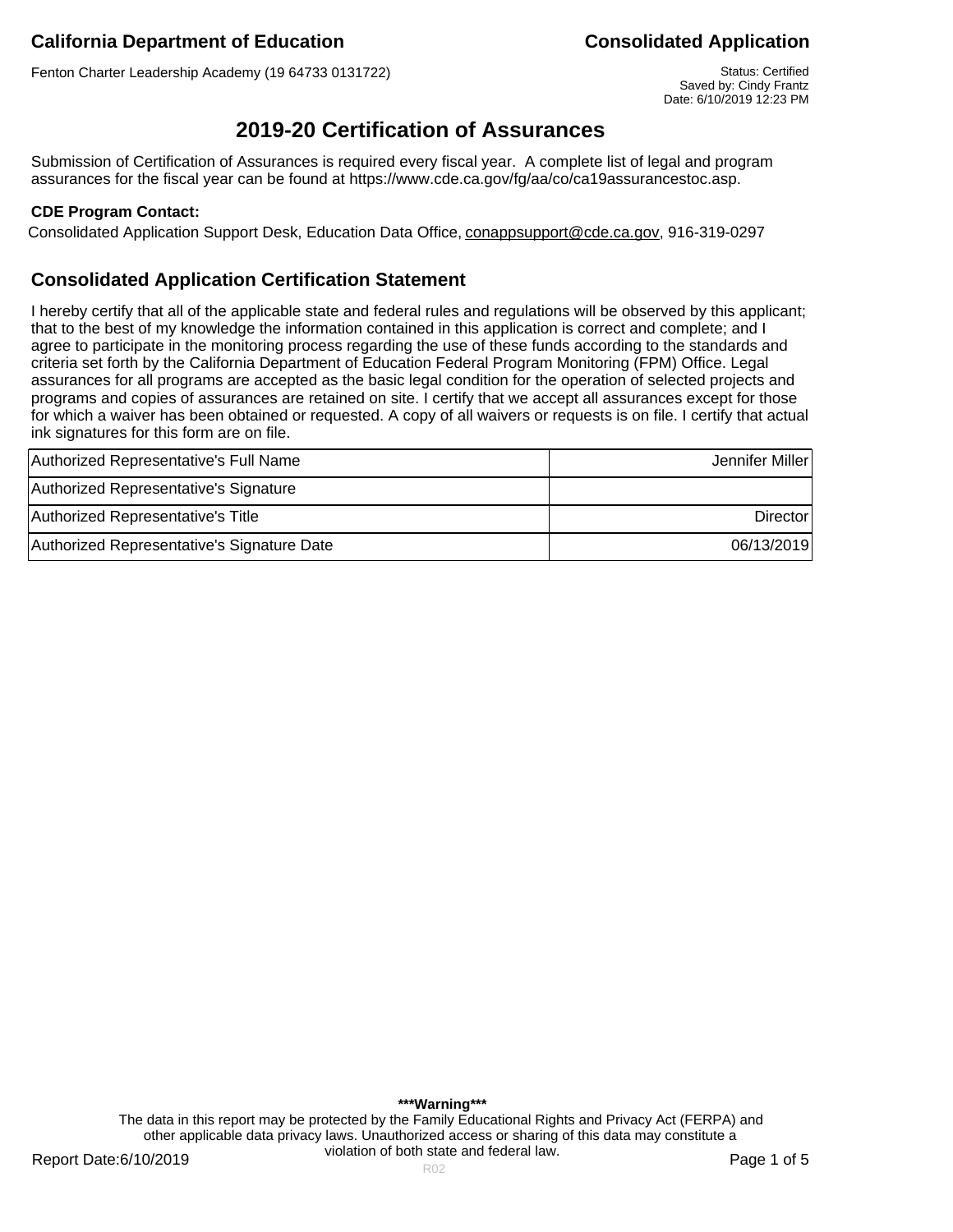Fenton Charter Leadership Academy (19 64733 0131722) Status: Certified

Saved by: Cindy Frantz Date: 6/10/2019 12:23 PM

# **2019-20 Certification of Assurances**

Submission of Certification of Assurances is required every fiscal year. A complete list of legal and program assurances for the fiscal year can be found at https://www.cde.ca.gov/fg/aa/co/ca19assurancestoc.asp.

### **CDE Program Contact:**

Consolidated Application Support Desk, Education Data Office, conappsupport@cde.ca.gov, 916-319-0297

## **Consolidated Application Certification Statement**

I hereby certify that all of the applicable state and federal rules and regulations will be observed by this applicant; that to the best of my knowledge the information contained in this application is correct and complete; and I agree to participate in the monitoring process regarding the use of these funds according to the standards and criteria set forth by the California Department of Education Federal Program Monitoring (FPM) Office. Legal assurances for all programs are accepted as the basic legal condition for the operation of selected projects and programs and copies of assurances are retained on site. I certify that we accept all assurances except for those for which a waiver has been obtained or requested. A copy of all waivers or requests is on file. I certify that actual ink signatures for this form are on file.

| Authorized Representative's Full Name      | Jennifer Miller |
|--------------------------------------------|-----------------|
| Authorized Representative's Signature      |                 |
| Authorized Representative's Title          | Director        |
| Authorized Representative's Signature Date | 06/13/2019      |

**\*\*\*Warning\*\*\*** The data in this report may be protected by the Family Educational Rights and Privacy Act (FERPA) and other applicable data privacy laws. Unauthorized access or sharing of this data may constitute a violation of both state and federal law.

Report Date:6/10/2019 **Page 1 of 5** Report Date:6/10/2019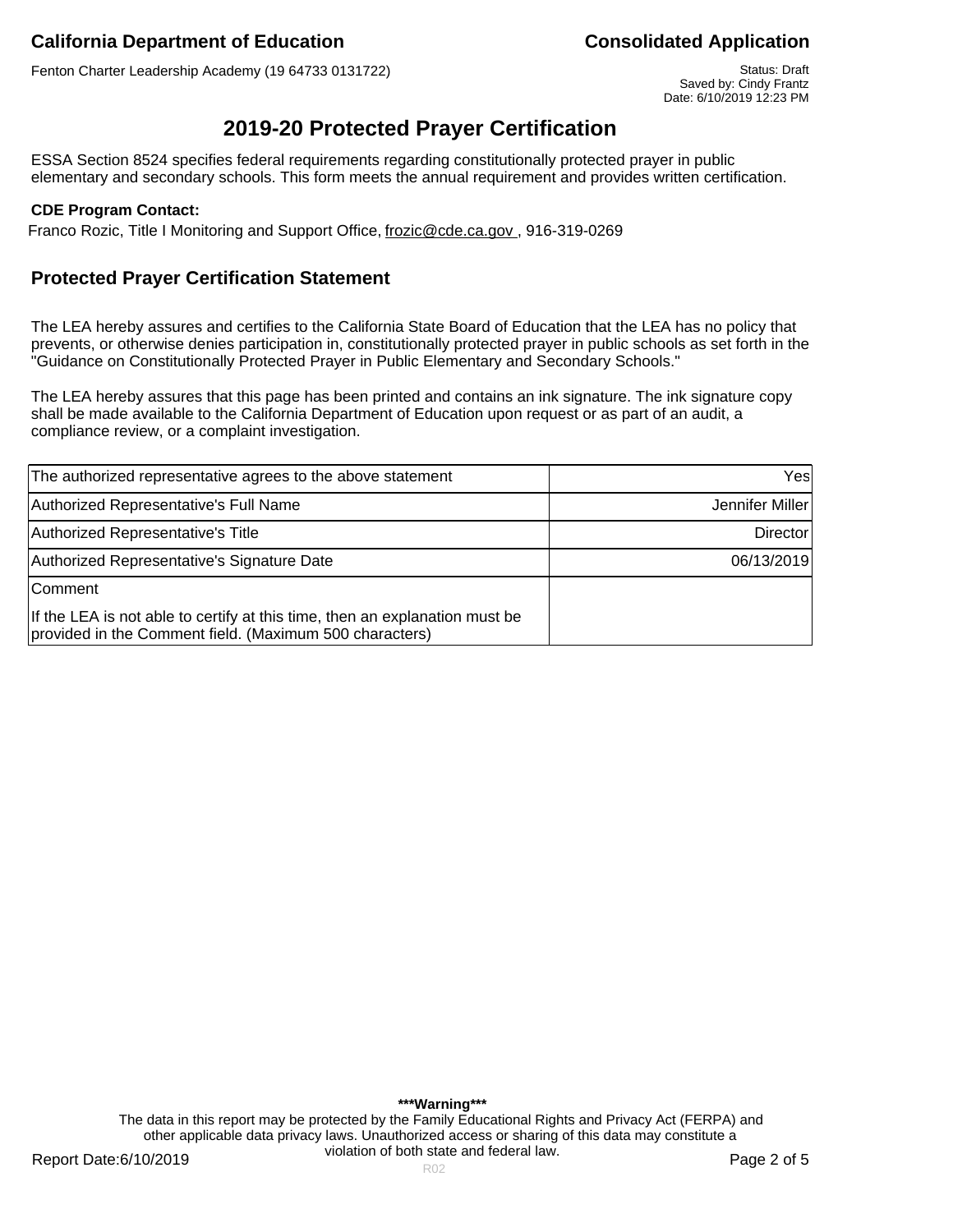Fenton Charter Leadership Academy (19 64733 0131722) Status: Draft

Saved by: Cindy Frantz Date: 6/10/2019 12:23 PM

# **2019-20 Protected Prayer Certification**

ESSA Section 8524 specifies federal requirements regarding constitutionally protected prayer in public elementary and secondary schools. This form meets the annual requirement and provides written certification.

#### **CDE Program Contact:**

Franco Rozic, Title I Monitoring and Support Office, frozic@cde.ca.gov., 916-319-0269

## **Protected Prayer Certification Statement**

The LEA hereby assures and certifies to the California State Board of Education that the LEA has no policy that prevents, or otherwise denies participation in, constitutionally protected prayer in public schools as set forth in the "Guidance on Constitutionally Protected Prayer in Public Elementary and Secondary Schools."

The LEA hereby assures that this page has been printed and contains an ink signature. The ink signature copy shall be made available to the California Department of Education upon request or as part of an audit, a compliance review, or a complaint investigation.

| The authorized representative agrees to the above statement                                                                            | Yesl            |
|----------------------------------------------------------------------------------------------------------------------------------------|-----------------|
| Authorized Representative's Full Name                                                                                                  | Jennifer Miller |
| Authorized Representative's Title                                                                                                      | Director        |
| Authorized Representative's Signature Date                                                                                             | 06/13/2019      |
| <b>Comment</b>                                                                                                                         |                 |
| If the LEA is not able to certify at this time, then an explanation must be<br>provided in the Comment field. (Maximum 500 characters) |                 |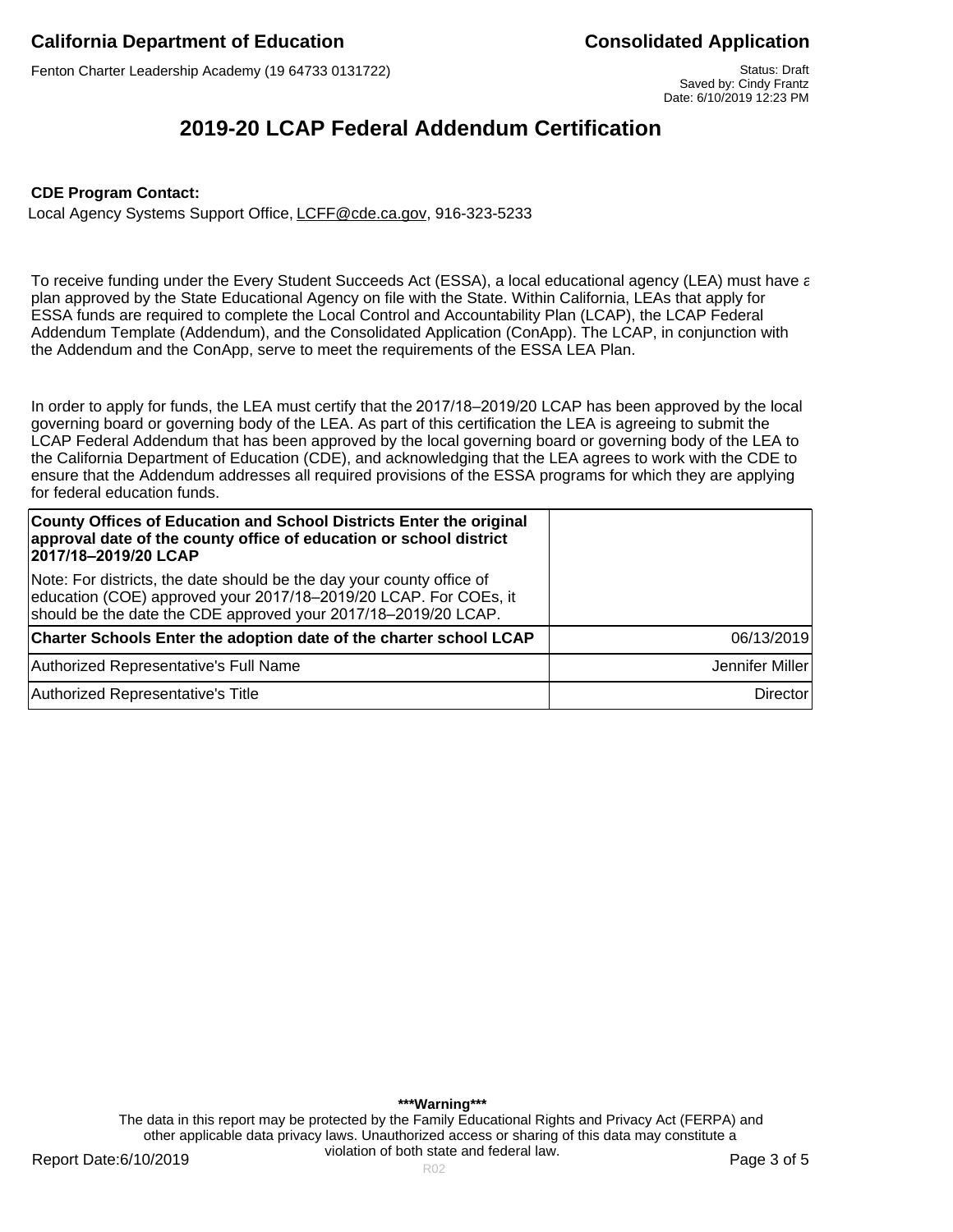Fenton Charter Leadership Academy (19 64733 0131722) Status: Draft Status: Draft

Saved by: Cindy Frantz Date: 6/10/2019 12:23 PM

# **2019-20 LCAP Federal Addendum Certification**

#### **CDE Program Contact:**

Local Agency Systems Support Office, LCFF@cde.ca.gov, 916-323-5233

To receive funding under the Every Student Succeeds Act (ESSA), a local educational agency (LEA) must have a plan approved by the State Educational Agency on file with the State. Within California, LEAs that apply for ESSA funds are required to complete the Local Control and Accountability Plan (LCAP), the LCAP Federal Addendum Template (Addendum), and the Consolidated Application (ConApp). The LCAP, in conjunction with the Addendum and the ConApp, serve to meet the requirements of the ESSA LEA Plan.

In order to apply for funds, the LEA must certify that the 2017/18–2019/20 LCAP has been approved by the local governing board or governing body of the LEA. As part of this certification the LEA is agreeing to submit the LCAP Federal Addendum that has been approved by the local governing board or governing body of the LEA to the California Department of Education (CDE), and acknowledging that the LEA agrees to work with the CDE to ensure that the Addendum addresses all required provisions of the ESSA programs for which they are applying for federal education funds.

| County Offices of Education and School Districts Enter the original<br>approval date of the county office of education or school district<br>2017/18-2019/20 LCAP                                           |                 |
|-------------------------------------------------------------------------------------------------------------------------------------------------------------------------------------------------------------|-----------------|
| Note: For districts, the date should be the day your county office of<br>education (COE) approved your 2017/18-2019/20 LCAP. For COEs, it<br>should be the date the CDE approved your 2017/18-2019/20 LCAP. |                 |
| Charter Schools Enter the adoption date of the charter school LCAP                                                                                                                                          | 06/13/2019      |
| Authorized Representative's Full Name                                                                                                                                                                       | Jennifer Miller |
| Authorized Representative's Title                                                                                                                                                                           | <b>Director</b> |

**\*\*\*Warning\*\*\*** The data in this report may be protected by the Family Educational Rights and Privacy Act (FERPA) and other applicable data privacy laws. Unauthorized access or sharing of this data may constitute a violation of both state and federal law.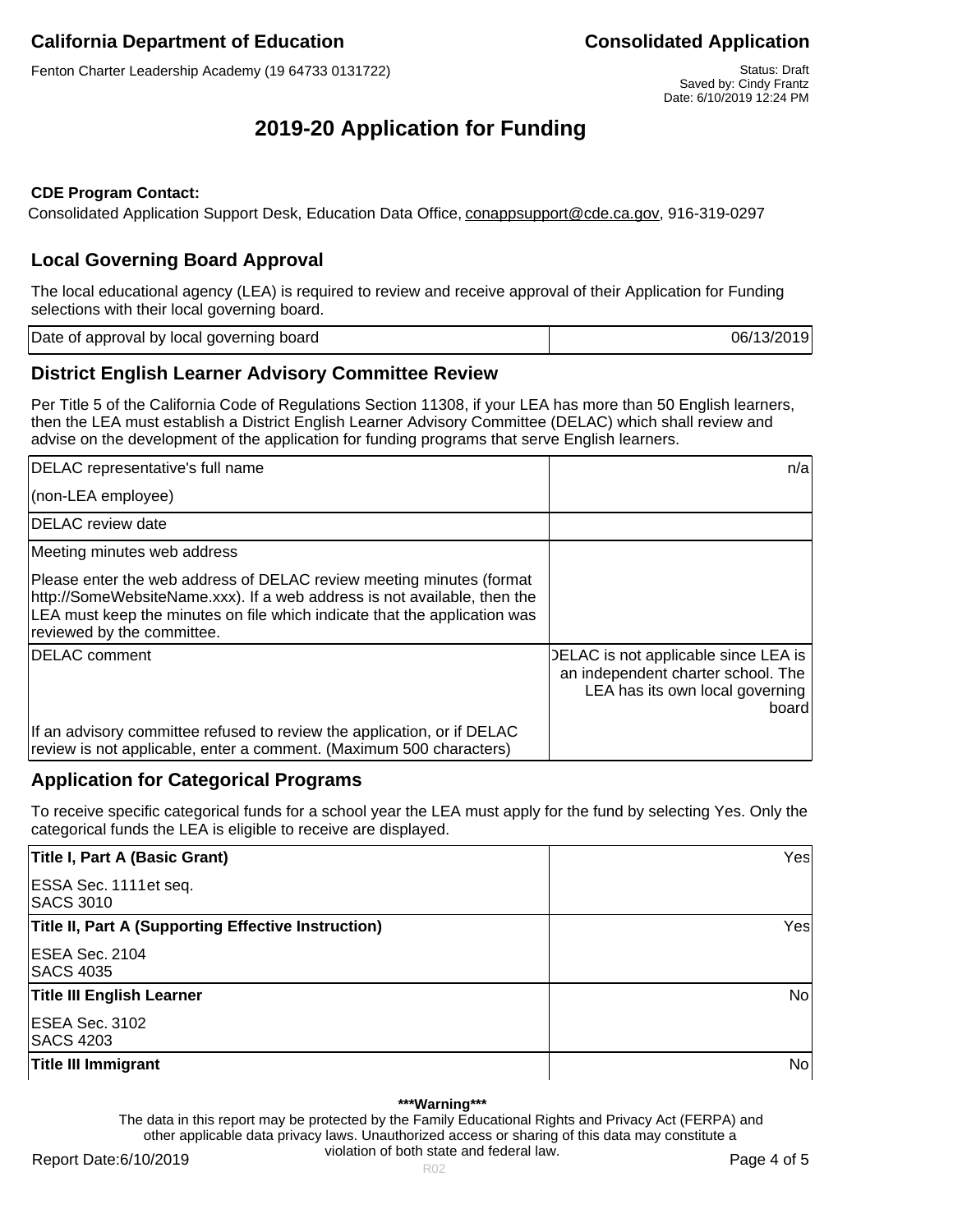Fenton Charter Leadership Academy (19 64733 0131722) Status: Draft

# **2019-20 Application for Funding**

### **CDE Program Contact:**

Consolidated Application Support Desk, Education Data Office, conappsupport@cde.ca.gov, 916-319-0297

# **Local Governing Board Approval**

The local educational agency (LEA) is required to review and receive approval of their Application for Funding selections with their local governing board.

| Date of approval by local governing board | 06/13/2019 |
|-------------------------------------------|------------|
|-------------------------------------------|------------|

## **District English Learner Advisory Committee Review**

Per Title 5 of the California Code of Regulations Section 11308, if your LEA has more than 50 English learners, then the LEA must establish a District English Learner Advisory Committee (DELAC) which shall review and advise on the development of the application for funding programs that serve English learners.

| DELAC representative's full name                                                                                                                                                                                                                            | n/a                                                                                                                    |
|-------------------------------------------------------------------------------------------------------------------------------------------------------------------------------------------------------------------------------------------------------------|------------------------------------------------------------------------------------------------------------------------|
| (non-LEA employee)                                                                                                                                                                                                                                          |                                                                                                                        |
| DELAC review date                                                                                                                                                                                                                                           |                                                                                                                        |
| Meeting minutes web address                                                                                                                                                                                                                                 |                                                                                                                        |
| Please enter the web address of DELAC review meeting minutes (format<br>http://SomeWebsiteName.xxx). If a web address is not available, then the<br>LEA must keep the minutes on file which indicate that the application was<br>reviewed by the committee. |                                                                                                                        |
| <b>IDELAC</b> comment                                                                                                                                                                                                                                       | DELAC is not applicable since LEA is<br>an independent charter school. The<br>LEA has its own local governing<br>board |
| If an advisory committee refused to review the application, or if DELAC<br>review is not applicable, enter a comment. (Maximum 500 characters)                                                                                                              |                                                                                                                        |

# **Application for Categorical Programs**

To receive specific categorical funds for a school year the LEA must apply for the fund by selecting Yes. Only the categorical funds the LEA is eligible to receive are displayed.

| Title I, Part A (Basic Grant)                              | Yes            |
|------------------------------------------------------------|----------------|
| ESSA Sec. 1111 et seq.<br><b>SACS 3010</b>                 |                |
| <b>Title II, Part A (Supporting Effective Instruction)</b> | Yes            |
| ESEA Sec. 2104<br><b>SACS 4035</b>                         |                |
| <b>Title III English Learner</b>                           | N <sub>o</sub> |
| ESEA Sec. 3102<br><b>SACS 4203</b>                         |                |
| Title III Immigrant                                        | No             |

#### **\*\*\*Warning\*\*\***

The data in this report may be protected by the Family Educational Rights and Privacy Act (FERPA) and other applicable data privacy laws. Unauthorized access or sharing of this data may constitute a violation of both state and federal law.